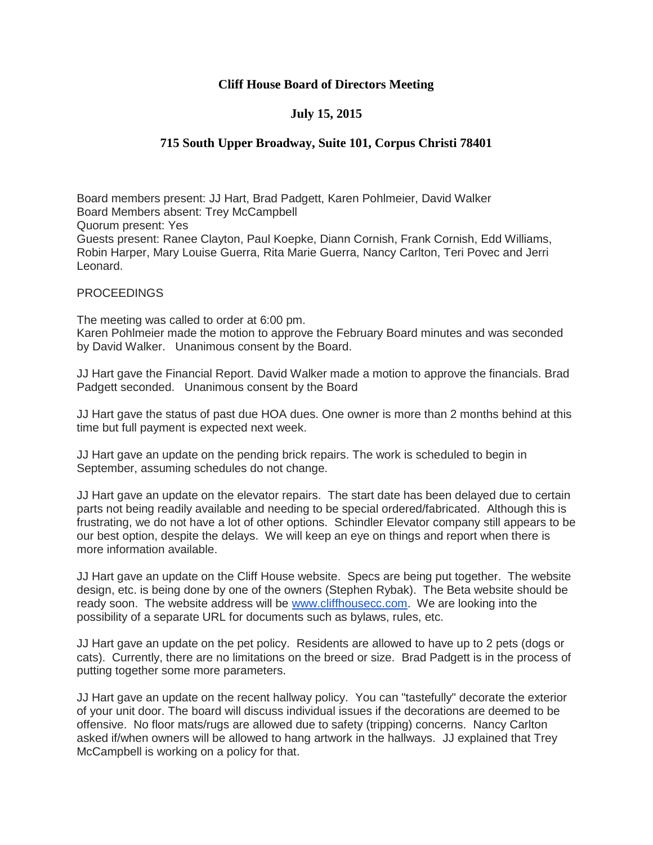## **Cliff House Board of Directors Meeting**

## **July 15, 2015**

## **715 South Upper Broadway, Suite 101, Corpus Christi 78401**

Board members present: JJ Hart, Brad Padgett, Karen Pohlmeier, David Walker Board Members absent: Trey McCampbell Quorum present: Yes Guests present: Ranee Clayton, Paul Koepke, Diann Cornish, Frank Cornish, Edd Williams, Robin Harper, Mary Louise Guerra, Rita Marie Guerra, Nancy Carlton, Teri Povec and Jerri Leonard.

## PROCEEDINGS

The meeting was called to order at 6:00 pm. Karen Pohlmeier made the motion to approve the February Board minutes and was seconded by David Walker. Unanimous consent by the Board.

JJ Hart gave the Financial Report. David Walker made a motion to approve the financials. Brad Padgett seconded. Unanimous consent by the Board

JJ Hart gave the status of past due HOA dues. One owner is more than 2 months behind at this time but full payment is expected next week.

JJ Hart gave an update on the pending brick repairs. The work is scheduled to begin in September, assuming schedules do not change.

JJ Hart gave an update on the elevator repairs. The start date has been delayed due to certain parts not being readily available and needing to be special ordered/fabricated. Although this is frustrating, we do not have a lot of other options. Schindler Elevator company still appears to be our best option, despite the delays. We will keep an eye on things and report when there is more information available.

JJ Hart gave an update on the Cliff House website. Specs are being put together. The website design, etc. is being done by one of the owners (Stephen Rybak). The Beta website should be ready soon. The website address will be [www.cliffhousecc.com.](http://www.cliffhousecc.com/) We are looking into the possibility of a separate URL for documents such as bylaws, rules, etc.

JJ Hart gave an update on the pet policy. Residents are allowed to have up to 2 pets (dogs or cats). Currently, there are no limitations on the breed or size. Brad Padgett is in the process of putting together some more parameters.

JJ Hart gave an update on the recent hallway policy. You can "tastefully" decorate the exterior of your unit door. The board will discuss individual issues if the decorations are deemed to be offensive. No floor mats/rugs are allowed due to safety (tripping) concerns. Nancy Carlton asked if/when owners will be allowed to hang artwork in the hallways. JJ explained that Trey McCampbell is working on a policy for that.